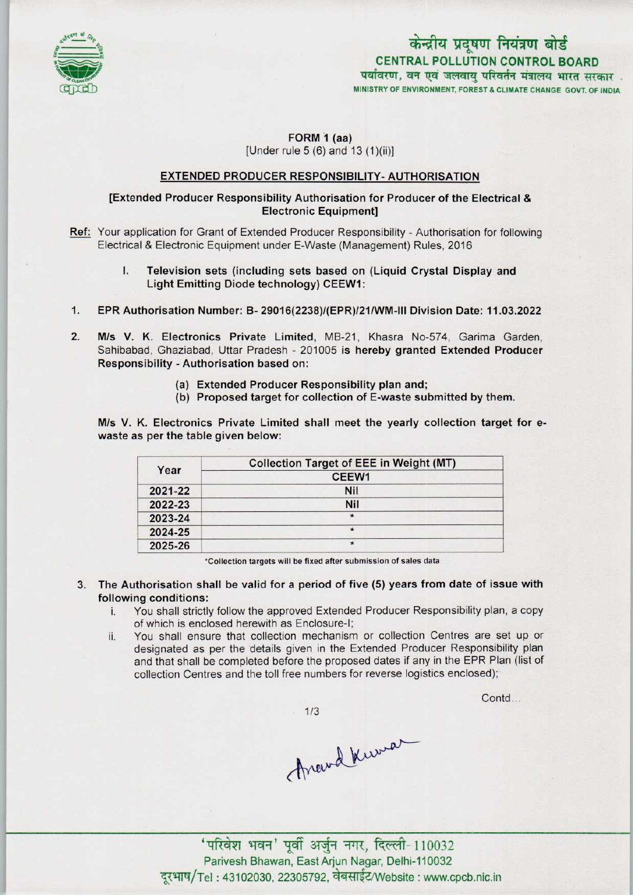

# CENTRAL POLLUTION CONTROL BOARD CENTRAL POLLUTION CONTROL BOARD<br>पर्यावरण, वन एवं जलवायु परिवर्तन मंत्रालय भारत सरकार MINISTRY OF ENVIRONMENT, FOREST & CLIMATE CHANGE GOVT. OF INDIA

## FORM 1 (aa) [Under rule 5 (6) and 13 (1)(ii)]

#### EXTENDED PRODUCER RESPONSIBILITY-AUTHORISATION

#### [Extended Producer Responsibility Authorisation for Producer ofthe Electrical & Electronic Equipment]

- Ref: Your application for Grant of Extended Producer Responsibility Authorisation for following Electrical & Electronic Equipment under E-Waste (Management) Rules, 2016
	- I. Television sets (including sets based on (Liquid Crystal Display and Light Emitting Diode technology) CEEW1:
- 1.EPR Authorisation Number: B- 29016(2238)/(EPR)/21/WM-lll Division Date: 11.03.2022
- 2.M/s V. K. Electronics Private Limited, MB-21, Khasra No-574, Garima Garden, Sahibabad, Ghaziabad, Uttar Pradesh - 201005 is hereby granted Extended Producer Responsibility -Authorisation based on:
	- (a)Extended Producer Responsibility plan and;
	- (b) Proposed target for collection of E-waste submitted by them.

M/s V. K. Electronics Private Limited shall meet the yearly collection target for ewaste as per the table given below:

| Year    | <b>Collection Target of EEE in Weight (MT)</b> |
|---------|------------------------------------------------|
|         | CEEW1                                          |
| 2021-22 | <b>Nil</b>                                     |
| 2022-23 | Nil                                            |
| 2023-24 | $\star$                                        |
| 2024-25 | $\star$                                        |
| 2025-26 | $\star$                                        |

•Collection targets will be fixed aftersubmission of sales data

- 3. The Authorisation shall be valid for a period of five (5) years from date of issue with following conditions:
	- i. You shall strictly follow the approved Extended Producer Responsibility plan, <sup>a</sup> copy of which is enclosed herewith as Enclosure-I;
	- ii. You shall ensure that collection mechanism or collection Centres are set up or designated as per the details given in the Extended Producer Responsibility plan and that shall be completed before the proposed dates if any in the EPR Plan (list of collection Centres and the toll free numbers for reverse logistics enclosed);

Contd...

 $1/3$ 

Around Kurman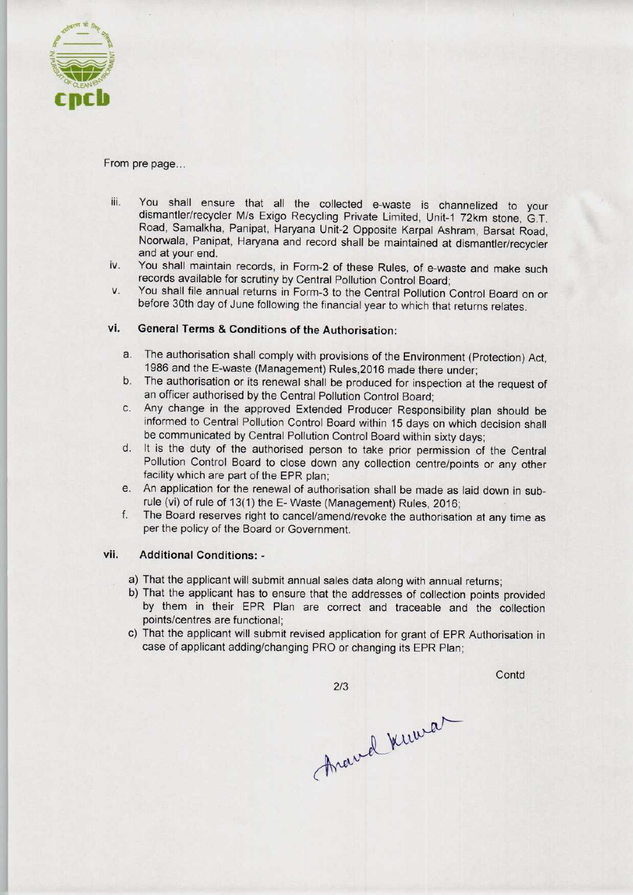

#### From pre page..

- iii. You shall ensure that all the collected e-waste is channelized to your dismantler/recycler M/s Exigo Recycling Private Limited, Unit-1 72km stone, G.T. Road, Samalkha, Panipat, Haryana Unit-2 Opposite Karpal Ashram, Barsat Road, Noorwala, Panipat, Haryana and record shall be maintained at dismantler/recycler and at your end.
- iv. You shall maintain records, in Form-2 of these Rules, of e-waste and make such records available for scrutiny by Central Pollution Control Board;
- v. You shall file annual returns in Form-3 to the Central Pollution Control Board on or before 30th day of June following the financial year to which that returns relates.

### vi. General Terms & Conditions of the Authorisation:

- a. The authorisation shall comply with provisions of the Environment (Protection) Act, 1986 and the E-waste (Management) Rules,2016 made there under;
- b.The authorisation or its renewal shall be produced for inspection at the request of an officer authorised by the Central Pollution Control Board;
- c.Any change in the approved Extended Producer Responsibility plan should be informed to Central Pollution Control Board within 15 days on which decision shall be communicated by Central Pollution Control Board within sixty days;
- d. It is the duty of the authorised person to take prior permission of the Central Pollution Control Board to close down any collection centre/points or any other facility which are part of the EPR plan;
- e. An application for the renewal of authorisation shall be made as laid down in subrule (vi) of rule of 13(1) the E- Waste (Management) Rules, 2016;
- f. The Board reserves right to cancel/amend/revoke the authorisation at any time as per the policy of the Board or Government.

#### vii. Additional Conditions: •

- a) That the applicant will submit annual sales data along with annual returns;
- b) That the applicant has to ensure that the addresses of collection points provided by them in their EPR Plan are correct and traceable and the collection points/centres are functional;
- c) That the applicant will submit revised application for grant of EPR Authorisation in case of applicant adding/changing PRO or changing its EPR Plan;

 $2/3$ 

**Contd** 

Aravel Kuwa